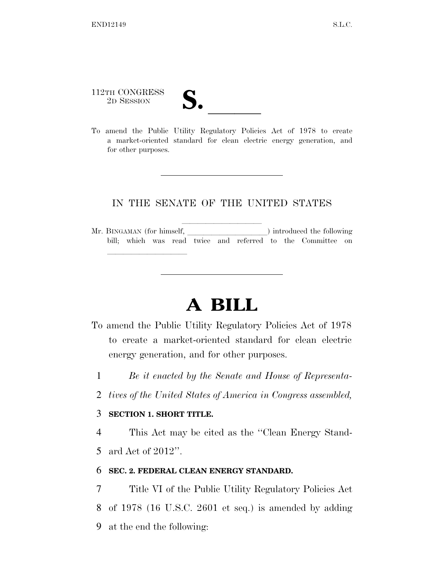# 112TH CONGRESS

lle and a second control of the second control of the second control of the second control of the second control of the second control of the second control of the second control of the second control of the second control

112TH CONGRESS<br>
2D SESSION<br>
To amend the Public Utility Regulatory Policies Act of 1978 to create a market-oriented standard for clean electric energy generation, and for other purposes.

### IN THE SENATE OF THE UNITED STATES

lla lleva alla serie della contratta della contratta della contratta della contratta della contratta della con<br>Alla contratta della contratta della contratta della contratta della contratta della contratta della contratta Mr. BINGAMAN (for himself,  $\qquad$ ) introduced the following bill; which was read twice and referred to the Committee on

## **A BILL**

- To amend the Public Utility Regulatory Policies Act of 1978 to create a market-oriented standard for clean electric energy generation, and for other purposes.
	- 1 *Be it enacted by the Senate and House of Representa-*
	- 2 *tives of the United States of America in Congress assembled,*

#### 3 **SECTION 1. SHORT TITLE.**

4 This Act may be cited as the ''Clean Energy Stand-5 ard Act of 2012''.

#### 6 **SEC. 2. FEDERAL CLEAN ENERGY STANDARD.**

7 Title VI of the Public Utility Regulatory Policies Act 8 of 1978 (16 U.S.C. 2601 et seq.) is amended by adding 9 at the end the following: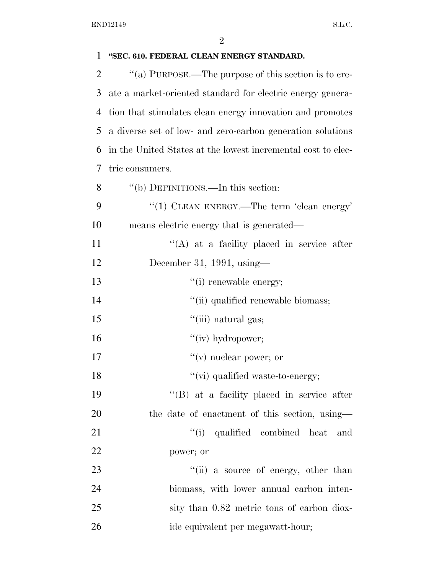| 1              | "SEC. 610. FEDERAL CLEAN ENERGY STANDARD.                    |
|----------------|--------------------------------------------------------------|
| $\overline{2}$ | "(a) PURPOSE.—The purpose of this section is to cre-         |
| 3              | ate a market-oriented standard for electric energy genera-   |
| 4              | tion that stimulates clean energy innovation and promotes    |
| 5              | a diverse set of low- and zero-carbon generation solutions   |
| 6              | in the United States at the lowest incremental cost to elec- |
| 7              | tric consumers.                                              |
| 8              | "(b) DEFINITIONS.—In this section:                           |
| 9              | "(1) CLEAN ENERGY.—The term 'clean energy'                   |
| 10             | means electric energy that is generated—                     |
| 11             | $\lq\lq$ at a facility placed in service after               |
| 12             | December 31, 1991, using—                                    |
| 13             | "(i) renewable energy;                                       |
| 14             | "(ii) qualified renewable biomass;                           |
| 15             | "(iii) natural gas;                                          |
| 16             | "(iv) hydropower;                                            |
| 17             | $f'(v)$ nuclear power; or                                    |
| 18             | "(vi) qualified waste-to-energy;                             |
| 19             | "(B) at a facility placed in service after                   |
| 20             | the date of enactment of this section, using—                |
| 21             | "(i) qualified combined heat<br>and                          |
| 22             | power; or                                                    |
| 23             | "(ii) a source of energy, other than                         |
| 24             | biomass, with lower annual carbon inten-                     |
| 25             | sity than 0.82 metric tons of carbon diox-                   |
| 26             | ide equivalent per megawatt-hour;                            |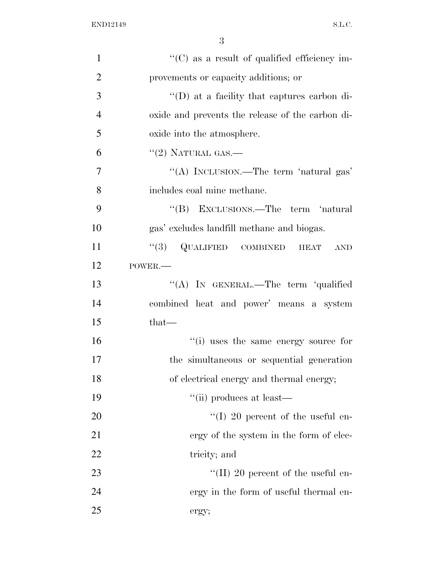| $\mathbf{1}$   | "(C) as a result of qualified efficiency im-        |
|----------------|-----------------------------------------------------|
| $\overline{2}$ | provements or capacity additions; or                |
| 3              | $\lq\lq$ (D) at a facility that captures carbon di- |
| $\overline{4}$ | oxide and prevents the release of the carbon di-    |
| 5              | oxide into the atmosphere.                          |
| 6              | $"(2)$ NATURAL GAS.—                                |
| $\overline{7}$ | "(A) INCLUSION.—The term 'natural gas'              |
| 8              | includes coal mine methane.                         |
| 9              | "(B) EXCLUSIONS.—The term 'natural                  |
| 10             | gas' excludes landfill methane and biogas.          |
| 11             | $(3)$ QUALIFIED COMBINED<br><b>HEAT</b><br>AND      |
| 12             | POWER.-                                             |
| 13             | "(A) IN GENERAL.—The term 'qualified                |
| 14             | combined heat and power' means a system             |
| 15             | $that-$                                             |
| 16             | "(i) uses the same energy source for                |
| 17             | the simultaneous or sequential generation           |
| 18             | of electrical energy and thermal energy;            |
| 19             | "(ii) produces at least—                            |
| 20             | $\lq(1)$ 20 percent of the useful en-               |
| 21             | ergy of the system in the form of elec-             |
| 22             | tricity; and                                        |
| 23             | "(II) 20 percent of the useful en-                  |
| 24             | ergy in the form of useful thermal en-              |
| 25             | ergy;                                               |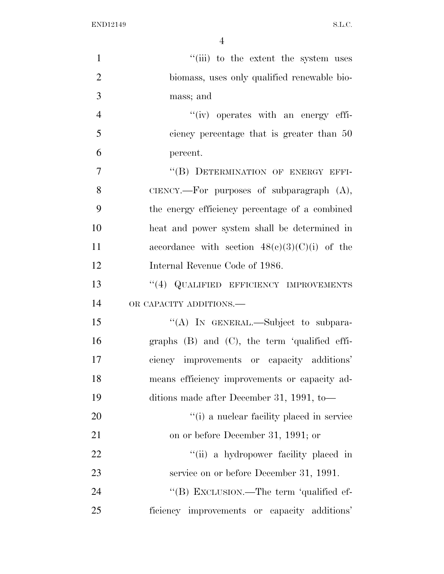| $\mathbf{1}$   | "(iii) to the extent the system uses            |
|----------------|-------------------------------------------------|
| $\overline{2}$ | biomass, uses only qualified renewable bio-     |
| 3              | mass; and                                       |
| $\overline{4}$ | "(iv) operates with an energy effi-             |
| 5              | ciency percentage that is greater than 50       |
| 6              | percent.                                        |
| 7              | "(B) DETERMINATION OF ENERGY EFFI-              |
| 8              | CIENCY.—For purposes of subparagraph $(A)$ ,    |
| 9              | the energy efficiency percentage of a combined  |
| 10             | heat and power system shall be determined in    |
| 11             | accordance with section $48(c)(3)(C)(i)$ of the |
| 12             | Internal Revenue Code of 1986.                  |
| 13             | "(4) QUALIFIED EFFICIENCY IMPROVEMENTS          |
| 14             | OR CAPACITY ADDITIONS.                          |
| 15             | "(A) IN GENERAL.—Subject to subpara-            |
| 16             | graphs (B) and (C), the term 'qualified effi-   |
| 17             | ciency improvements or capacity additions'      |
| 18             | means efficiency improvements or capacity ad-   |
| 19             | ditions made after December 31, 1991, to-       |
| 20             | "(i) a nuclear facility placed in service"      |
| 21             | on or before December 31, 1991; or              |
| 22             | "(ii) a hydropower facility placed in           |
| 23             | service on or before December 31, 1991.         |
| 24             | "(B) EXCLUSION.—The term 'qualified ef-         |
| 25             | ficiency improvements or capacity additions'    |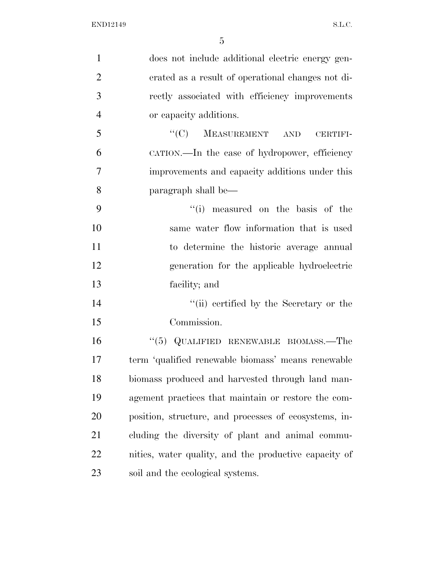| $\mathbf{1}$   | does not include additional electric energy gen-      |
|----------------|-------------------------------------------------------|
| $\overline{2}$ | erated as a result of operational changes not di-     |
| 3              | rectly associated with efficiency improvements        |
| $\overline{4}$ | or capacity additions.                                |
| 5              | $``(C)$ MEASUREMENT AND<br>CERTIFI-                   |
| 6              | CATION.—In the case of hydropower, efficiency         |
| 7              | improvements and capacity additions under this        |
| 8              | paragraph shall be—                                   |
| 9              | "(i) measured on the basis of the                     |
| 10             | same water flow information that is used              |
| 11             | to determine the historic average annual              |
| 12             | generation for the applicable hydroelectric           |
| 13             | facility; and                                         |
| 14             | "(ii) certified by the Secretary or the               |
| 15             | Commission.                                           |
| 16             | $(5)$ QUALIFIED RENEWABLE BIOMASS.—The                |
| 17             | term 'qualified renewable biomass' means renewable    |
| 18             | biomass produced and harvested through land man-      |
| 19             | agement practices that maintain or restore the com-   |
| 20             | position, structure, and processes of ecosystems, in- |
| 21             | cluding the diversity of plant and animal commu-      |
| 22             | nities, water quality, and the productive capacity of |
| 23             | soil and the ecological systems.                      |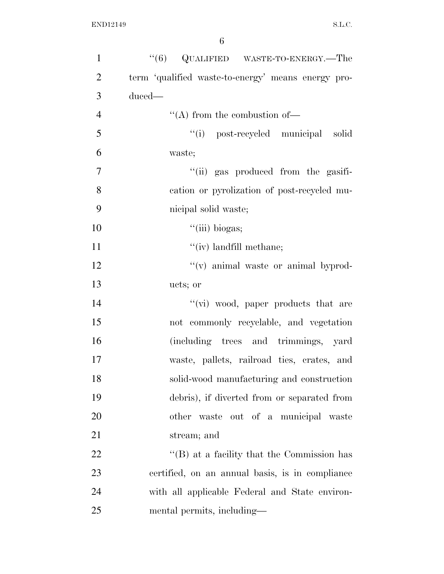| $\mathbf{1}$   | $\cdot\cdot$ (6) QUALIFIED WASTE-TO-ENERGY.—The    |
|----------------|----------------------------------------------------|
| $\overline{2}$ | term 'qualified waste-to-energy' means energy pro- |
| 3              | duced-                                             |
| $\overline{4}$ | $\lq\lq$ from the combustion of —                  |
| 5              | "(i) post-recycled municipal solid                 |
| 6              | waste;                                             |
| $\overline{7}$ | "(ii) gas produced from the gasifi-                |
| 8              | cation or pyrolization of post-recycled mu-        |
| 9              | nicipal solid waste;                               |
| 10             | ``(iii) biogas;                                    |
| 11             | $``(iv)$ landfill methane;                         |
| 12             | "(v) animal waste or animal byprod-                |
| 13             | ucts; or                                           |
| 14             | "(vi) wood, paper products that are                |
| 15             | not commonly recyclable, and vegetation            |
| 16             | (including trees and trimmings, yard               |
| 17             | waste, pallets, railroad ties, crates, and         |
| 18             | solid-wood manufacturing and construction          |
| 19             | debris), if diverted from or separated from        |
| 20             | other waste out of a municipal waste               |
| 21             | stream; and                                        |
| 22             | $\cdot$ (B) at a facility that the Commission has  |
| 23             | certified, on an annual basis, is in compliance    |
| 24             | with all applicable Federal and State environ-     |
| 25             | mental permits, including—                         |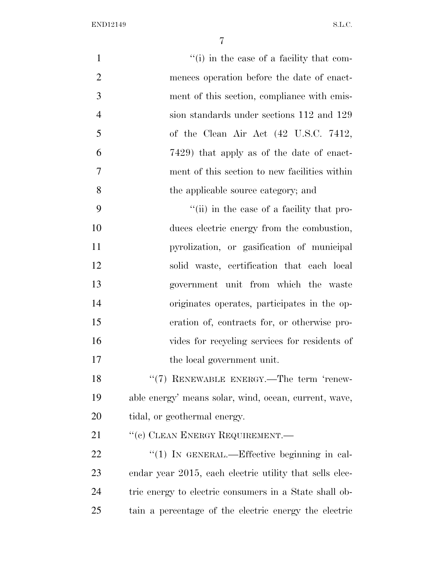| $\mathbf{1}$   | "(i) in the case of a facility that com-                |
|----------------|---------------------------------------------------------|
| $\overline{2}$ | mences operation before the date of enact-              |
| 3              | ment of this section, compliance with emis-             |
| $\overline{4}$ | sion standards under sections 112 and 129               |
| 5              | of the Clean Air Act (42 U.S.C. 7412,                   |
| 6              | 7429) that apply as of the date of enact-               |
| 7              | ment of this section to new facilities within           |
| 8              | the applicable source category; and                     |
| 9              | "(ii) in the case of a facility that pro-               |
| 10             | duces electric energy from the combustion,              |
| 11             | pyrolization, or gasification of municipal              |
| 12             | solid waste, certification that each local              |
| 13             | government unit from which the waste                    |
| 14             | originates operates, participates in the op-            |
| 15             | eration of, contracts for, or otherwise pro-            |
| 16             | vides for recycling services for residents of           |
| 17             | the local government unit.                              |
| 18             | "(7) RENEWABLE ENERGY.—The term 'renew-                 |
| 19             | able energy' means solar, wind, ocean, current, wave,   |
| 20             | tidal, or geothermal energy.                            |
| 21             | "(c) CLEAN ENERGY REQUIREMENT.—                         |
| 22             | "(1) IN GENERAL.—Effective beginning in cal-            |
| 23             | endar year 2015, each electric utility that sells elec- |
| 24             | tric energy to electric consumers in a State shall ob-  |
| 25             | tain a percentage of the electric energy the electric   |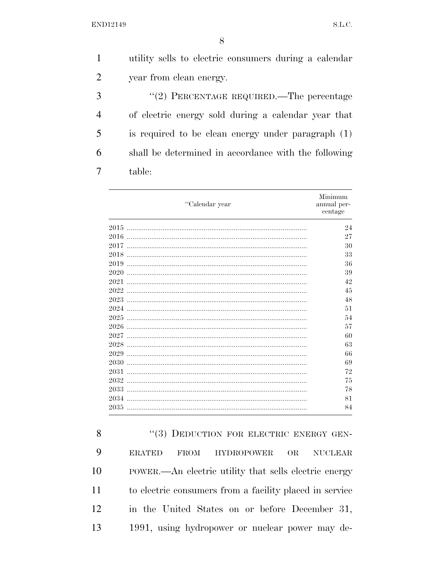$\mathbf{1}$ utility sells to electric consumers during a calendar  $\overline{2}$ year from clean energy. 3 "(2) PERCENTAGE REQUIRED.—The percentage  $\overline{4}$ of electric energy sold during a calendar year that 5 is required to be clean energy under paragraph  $(1)$ 6 shall be determined in accordance with the following  $\overline{7}$ table:

| "Calendar year | Minimum<br>annual per-<br>centage |
|----------------|-----------------------------------|
| 2015           | 24                                |
| 2016           | 27                                |
| 2017           | 30                                |
| 2018           | 33                                |
| 2019           | 36                                |
| 2020           | 39                                |
| 2021           | 42                                |
| 2022           | 45                                |
| 2023           | 48                                |
| 2024           | 51                                |
| 2025           | 54                                |
| 2026           | 57                                |
| 2027           | 60                                |
| 2028           | 63                                |
| 2029           | 66                                |
| 2030           | 69                                |
| 2031           | 72                                |
| 2032           | 75                                |
| 2033           | 78                                |
| 2034           | 81                                |
| 2035           | 84                                |

8 "(3) DEDUCTION FOR ELECTRIC ENERGY GEN-9 **ERATED FROM HYDROPOWER OR NUCLEAR** 10 POWER.—An electric utility that sells electric energy 11 to electric consumers from a facility placed in service 12 in the United States on or before December 31, 1991, using hydropower or nuclear power may de-13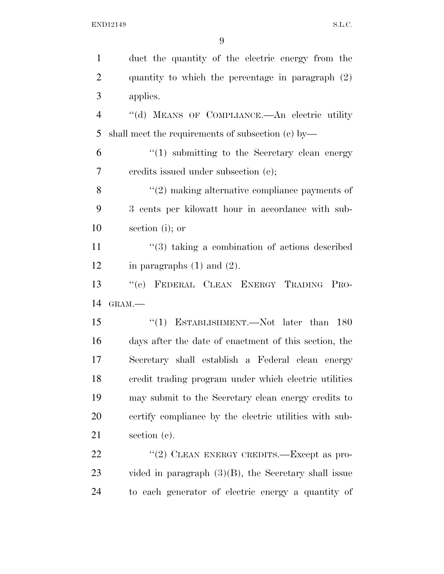| $\mathbf{1}$   | duct the quantity of the electric energy from the          |
|----------------|------------------------------------------------------------|
| $\overline{2}$ | quantity to which the percentage in paragraph (2)          |
| 3              | applies.                                                   |
| $\overline{4}$ | "(d) MEANS OF COMPLIANCE.—An electric utility              |
| 5              | shall meet the requirements of subsection $(c)$ by—        |
| 6              | $\lq(1)$ submitting to the Secretary clean energy          |
| 7              | eredits issued under subsection (e);                       |
| 8              | $\lq(2)$ making alternative compliance payments of         |
| 9              | 3 cents per kilowatt hour in accordance with sub-          |
| 10             | section (i); or                                            |
| 11             | $\cdot\cdot$ (3) taking a combination of actions described |
| 12             | in paragraphs $(1)$ and $(2)$ .                            |
| 13             | "(e) FEDERAL CLEAN ENERGY TRADING PRO-                     |
| 14             | GRAM.-                                                     |
| 15             | "(1) ESTABLISHMENT.—Not later than $180$                   |
| 16             |                                                            |
|                | days after the date of enactment of this section, the      |
| 17             | Secretary shall establish a Federal clean energy           |
| 18             | credit trading program under which electric utilities      |
| 19             | may submit to the Secretary clean energy credits to        |
| 20             | certify compliance by the electric utilities with sub-     |
|                | section $(c)$ .                                            |
| 21<br>22       | "(2) CLEAN ENERGY CREDITS.—Except as pro-                  |
| 23             | vided in paragraph $(3)(B)$ , the Secretary shall issue    |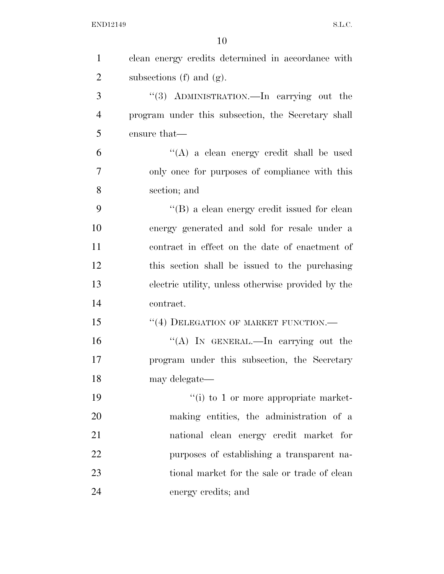| $\mathbf{1}$   | clean energy credits determined in accordance with |
|----------------|----------------------------------------------------|
| $\overline{2}$ | subsections $(f)$ and $(g)$ .                      |
| 3              | "(3) ADMINISTRATION.—In carrying out the           |
| $\overline{4}$ | program under this subsection, the Secretary shall |
| 5              | ensure that—                                       |
| 6              | "(A) a clean energy credit shall be used           |
| 7              | only once for purposes of compliance with this     |
| 8              | section; and                                       |
| 9              | "(B) a clean energy credit issued for clean        |
| 10             | energy generated and sold for resale under a       |
| 11             | contract in effect on the date of enactment of     |
| 12             | this section shall be issued to the purchasing     |
| 13             | electric utility, unless otherwise provided by the |
| 14             | contract.                                          |
| 15             | "(4) DELEGATION OF MARKET FUNCTION.-               |
| 16             | "(A) IN GENERAL.—In carrying out the               |
| 17             | program under this subsection, the Secretary       |
| 18             | may delegate-                                      |
| 19             | $``(i)$ to 1 or more appropriate market-           |
| 20             | making entities, the administration of a           |
| 21             | national clean energy credit market for            |
| 22             | purposes of establishing a transparent na-         |
| 23             | tional market for the sale or trade of clean       |
| 24             | energy credits; and                                |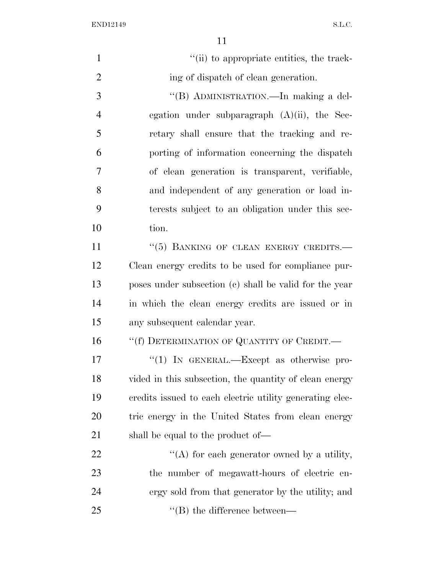| $\mathbf{1}$   | "(ii) to appropriate entities, the track-                |
|----------------|----------------------------------------------------------|
| $\overline{2}$ | ing of dispatch of clean generation.                     |
| 3              | "(B) ADMINISTRATION.—In making a del-                    |
| $\overline{4}$ | egation under subparagraph $(A)(ii)$ , the Sec-          |
| 5              | retary shall ensure that the tracking and re-            |
| 6              | porting of information concerning the dispatch           |
| $\overline{7}$ | of clean generation is transparent, verifiable,          |
| 8              | and independent of any generation or load in-            |
| 9              | terests subject to an obligation under this sec-         |
| 10             | tion.                                                    |
| 11             | "(5) BANKING OF CLEAN ENERGY CREDITS.-                   |
| 12             | Clean energy credits to be used for compliance pur-      |
| 13             | poses under subsection (c) shall be valid for the year   |
| 14             | in which the clean energy credits are issued or in       |
| 15             | any subsequent calendar year.                            |
| 16             | "(f) DETERMINATION OF QUANTITY OF CREDIT.—               |
| 17             | "(1) IN GENERAL.—Except as otherwise pro-                |
| 18             | vided in this subsection, the quantity of clean energy   |
| 19             | credits issued to each electric utility generating elec- |
| <b>20</b>      | tric energy in the United States from clean energy       |
| 21             | shall be equal to the product of—                        |
| 22             | "(A) for each generator owned by a utility,              |
| 23             | the number of megawatt-hours of electric en-             |
| 24             | ergy sold from that generator by the utility; and        |
| 25             | $\lq\lq$ the difference between—                         |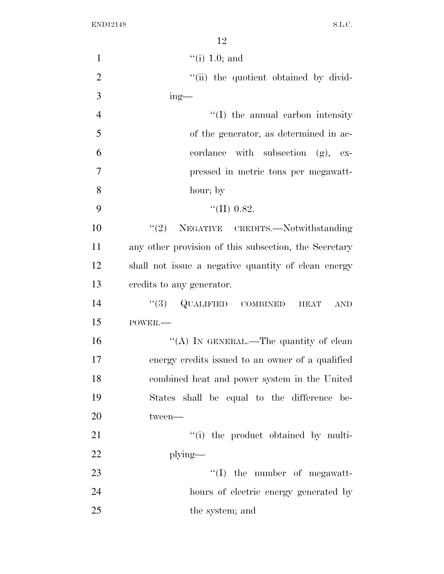| $\mathbf{1}$   | $``(i)$ 1.0; and                                      |
|----------------|-------------------------------------------------------|
| $\overline{2}$ | "(ii) the quotient obtained by divid-                 |
| 3              | $ing$ —                                               |
| $\overline{4}$ | $\lq\lq$ (I) the annual carbon intensity              |
| 5              | of the generator, as determined in ac-                |
| 6              | cordance with subsection $(g)$ , ex-                  |
| $\overline{7}$ | pressed in metric tons per megawatt-                  |
| 8              | hour; by                                              |
| 9              | "(II) $0.82$ .                                        |
| 10             | NEGATIVE CREDITS.-Notwithstanding<br>(2)              |
| 11             | any other provision of this subsection, the Secretary |
| 12             | shall not issue a negative quantity of clean energy   |
| 13             | credits to any generator.                             |
| 14             | $(3)$ QUALIFIED COMBINED HEAT<br><b>AND</b>           |
| 15             | POWER.-                                               |
| 16             | "(A) IN GENERAL.—The quantity of clean                |
| 17             | energy credits issued to an owner of a qualified      |
| 18             | combined heat and power system in the United          |
| 19             | States shall be equal to the difference be-           |
| 20             | tween-                                                |
| 21             | "(i) the product obtained by multi-                   |
| 22             | $plying$ —                                            |
| 23             | $\lq\lq$ (I) the number of megawatt-                  |
| 24             | hours of electric energy generated by                 |
| 25             | the system; and                                       |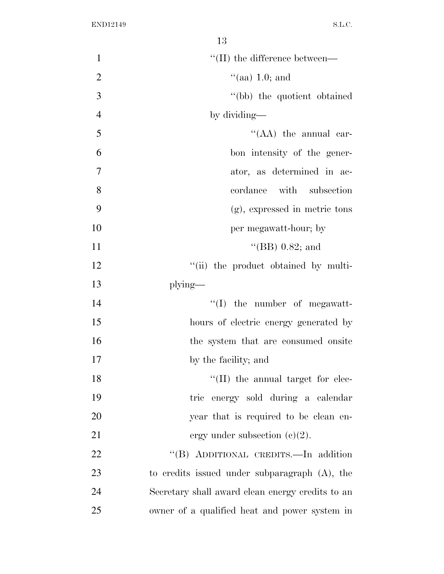|                | 10                                               |
|----------------|--------------------------------------------------|
| $\mathbf{1}$   | $\lq$ (II) the difference between—               |
| $\overline{2}$ | $\lq(aa)$ 1.0; and                               |
| 3              | "(bb) the quotient obtained                      |
| $\overline{4}$ | by dividing—                                     |
| 5              | " $(AA)$ the annual car-                         |
| 6              | bon intensity of the gener-                      |
| $\overline{7}$ | ator, as determined in ac-                       |
| 8              | with subsection<br>cordance                      |
| 9              | $(g)$ , expressed in metric tons                 |
| 10             | per megawatt-hour; by                            |
| 11             | "(BB) $0.82$ ; and                               |
| 12             | "(ii) the product obtained by multi-             |
| 13             | $plying$ —                                       |
| 14             | $``(I)$ the number of megawatt-                  |
| 15             | hours of electric energy generated by            |
| 16             | the system that are consumed onsite              |
| 17             | by the facility; and                             |
| 18             | $\lq\lq$ (II) the annual target for elec-        |
| 19             | tric energy sold during a calendar               |
| 20             | year that is required to be clean en-            |
| 21             | ergy under subsection $(c)(2)$ .                 |
| 22             | "(B) ADDITIONAL CREDITS.—In addition             |
| 23             | to credits issued under subparagraph $(A)$ , the |
| 24             | Secretary shall award clean energy credits to an |
| 25             | owner of a qualified heat and power system in    |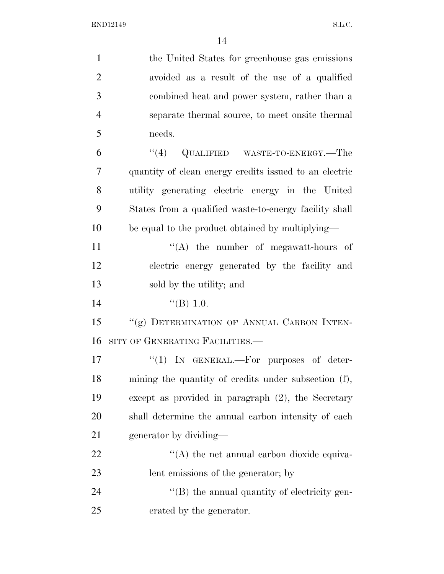| $\mathbf{1}$   | the United States for greenhouse gas emissions         |
|----------------|--------------------------------------------------------|
| $\overline{2}$ | avoided as a result of the use of a qualified          |
| 3              | combined heat and power system, rather than a          |
| $\overline{4}$ | separate thermal source, to meet onsite thermal        |
| 5              | needs.                                                 |
| 6              | (4)<br>QUALIFIED WASTE-TO-ENERGY.—The                  |
| 7              | quantity of clean energy credits issued to an electric |
| 8              | utility generating electric energy in the United       |
| 9              | States from a qualified waste-to-energy facility shall |
| 10             | be equal to the product obtained by multiplying—       |
| 11             | $\lq\lq$ the number of megawatt-hours of               |
| 12             | electric energy generated by the facility and          |
| 13             | sold by the utility; and                               |
| 14             | $\lq (B)$ 1.0.                                         |
| 15             | "(g) DETERMINATION OF ANNUAL CARBON INTEN-             |
| 16             | SITY OF GENERATING FACILITIES.                         |
| 17             | " $(1)$ IN GENERAL.—For purposes of deter-             |
| 18             | mining the quantity of credits under subsection (f),   |
| 19             | except as provided in paragraph $(2)$ , the Secretary  |
| 20             | shall determine the annual carbon intensity of each    |
| 21             | generator by dividing—                                 |
| 22             | $\lq\lq$ the net annual carbon dioxide equiva-         |
| 23             | lent emissions of the generator; by                    |
| 24             | $\lq$ (B) the annual quantity of electricity gen-      |
| 25             | erated by the generator.                               |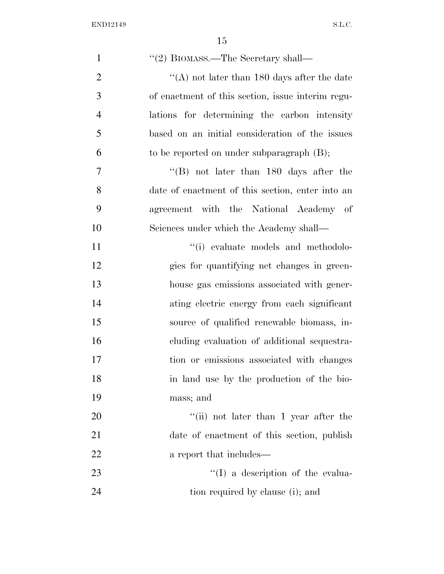| $\mathbf{1}$   | "(2) BIOMASS.—The Secretary shall—                 |
|----------------|----------------------------------------------------|
| $\overline{2}$ | "(A) not later than $180$ days after the date      |
| 3              | of enactment of this section, issue interim regu-  |
| $\overline{4}$ | lations for determining the carbon intensity       |
| 5              | based on an initial consideration of the issues    |
| 6              | to be reported on under subparagraph $(B)$ ;       |
| $\tau$         | $\mathrm{``(B)}$ not later than 180 days after the |
| 8              | date of enactment of this section, enter into an   |
| 9              | agreement with the National Academy of             |
| 10             | Sciences under which the Academy shall—            |
| 11             | "(i) evaluate models and methodolo-                |
| 12             | gies for quantifying net changes in green-         |
| 13             | house gas emissions associated with gener-         |
| 14             | ating electric energy from each significant        |
| 15             | source of qualified renewable biomass, in-         |
| 16             | cluding evaluation of additional sequestra-        |
| 17             | tion or emissions associated with changes          |
| 18             | in land use by the production of the bio-          |
| 19             | mass; and                                          |
| 20             | "(ii) not later than 1 year after the              |
| 21             | date of enactment of this section, publish         |
| 22             | a report that includes—                            |
| 23             | $\lq\lq$ a description of the evalua-              |
| 24             | tion required by clause (i); and                   |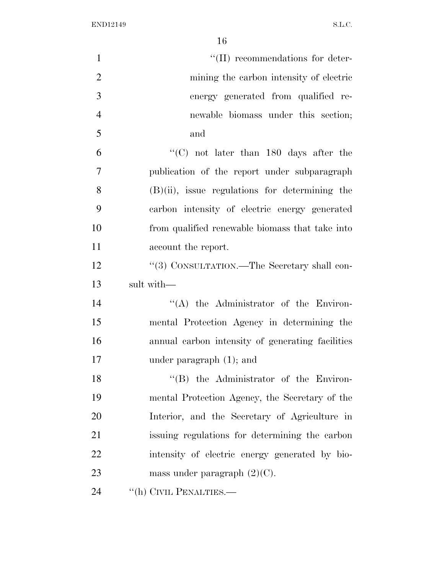| $\mathbf{1}$   | $\lq\lq$ (II) recommendations for deter-          |
|----------------|---------------------------------------------------|
| $\overline{2}$ | mining the carbon intensity of electric           |
| 3              | energy generated from qualified re-               |
| $\overline{4}$ | newable biomass under this section;               |
| 5              | and                                               |
| 6              | "(C) not later than $180$ days after the          |
| $\overline{7}$ | publication of the report under subparagraph      |
| 8              | $(B)(ii)$ , issue regulations for determining the |
| 9              | carbon intensity of electric energy generated     |
| 10             | from qualified renewable biomass that take into   |
| 11             | account the report.                               |
| 12             | "(3) CONSULTATION.—The Secretary shall con-       |
| 13             | sult with-                                        |
| 14             | $\lq\lq$ the Administrator of the Environ-        |
| 15             | mental Protection Agency in determining the       |
| 16             | annual carbon intensity of generating facilities  |
| 17             | under paragraph $(1)$ ; and                       |
| 18             | "(B) the Administrator of the Environ-            |
| 19             | mental Protection Agency, the Secretary of the    |
| 20             | Interior, and the Secretary of Agriculture in     |
| 21             | issuing regulations for determining the carbon    |
| 22             | intensity of electric energy generated by bio-    |
| 23             | mass under paragraph $(2)(C)$ .                   |
| 24             | "(h) CIVIL PENALTIES.—                            |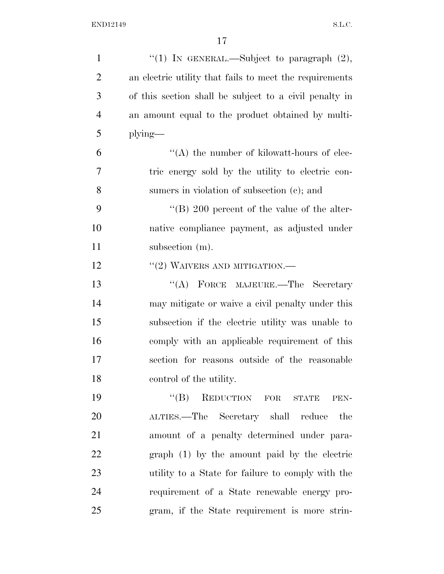| $\mathbf{1}$   | "(1) IN GENERAL.—Subject to paragraph $(2)$ ,           |
|----------------|---------------------------------------------------------|
| $\overline{2}$ | an electric utility that fails to meet the requirements |
| 3              | of this section shall be subject to a civil penalty in  |
| $\overline{4}$ | an amount equal to the product obtained by multi-       |
| 5              | $plying$ —                                              |
| 6              | $\lq\lq$ the number of kilowatt-hours of elec-          |
| 7              | tric energy sold by the utility to electric con-        |
| 8              | sumers in violation of subsection (c); and              |
| 9              | "(B) 200 percent of the value of the alter-             |
| 10             | native compliance payment, as adjusted under            |
| 11             | subsection (m).                                         |
| 12             | $``(2)$ WAIVERS AND MITIGATION.—                        |
| 13             | "(A) FORCE MAJEURE.—The Secretary                       |
| 14             | may mitigate or waive a civil penalty under this        |
| 15             | subsection if the electric utility was unable to        |
| 16             | comply with an applicable requirement of this           |
| 17             | section for reasons outside of the reasonable           |
| 18             | control of the utility.                                 |
| 19             | "(B) REDUCTION FOR STATE<br>PEN-                        |
| 20             | ALTIES.—The Secretary shall reduce<br>the               |
| 21             | amount of a penalty determined under para-              |
| 22             | graph (1) by the amount paid by the electric            |
| 23             | utility to a State for failure to comply with the       |
| 24             | requirement of a State renewable energy pro-            |
| 25             | gram, if the State requirement is more strin-           |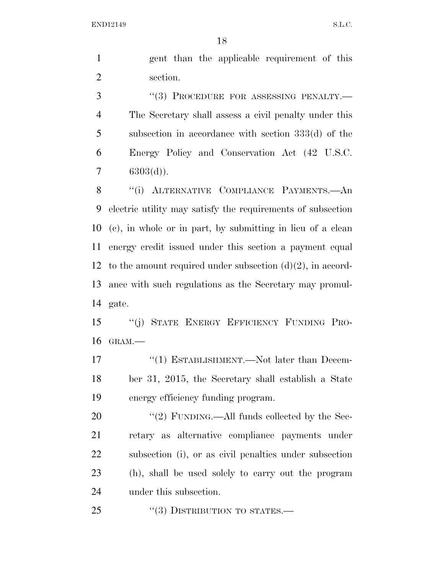gent than the applicable requirement of this section.

3 "(3) PROCEDURE FOR ASSESSING PENALTY.— The Secretary shall assess a civil penalty under this subsection in accordance with section 333(d) of the Energy Policy and Conservation Act (42 U.S.C.  $7 \qquad 6303(d)$ ).

8 "(i) ALTERNATIVE COMPLIANCE PAYMENTS.—An electric utility may satisfy the requirements of subsection (c), in whole or in part, by submitting in lieu of a clean energy credit issued under this section a payment equal 12 to the amount required under subsection  $(d)(2)$ , in accord- ance with such regulations as the Secretary may promul-gate.

 ''(j) STATE ENERGY EFFICIENCY FUNDING PRO-GRAM.—

17 "(1) ESTABLISHMENT.—Not later than Decem- ber 31, 2015, the Secretary shall establish a State energy efficiency funding program.

20 "(2) FUNDING.—All funds collected by the Sec- retary as alternative compliance payments under subsection (i), or as civil penalties under subsection (h), shall be used solely to carry out the program under this subsection.

25 "(3) DISTRIBUTION TO STATES.—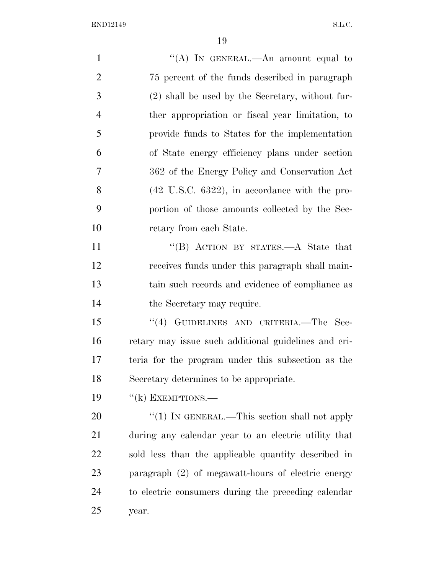| $\mathbf{1}$   | "(A) IN GENERAL.—An amount equal to                       |
|----------------|-----------------------------------------------------------|
| $\overline{2}$ | 75 percent of the funds described in paragraph            |
| 3              | (2) shall be used by the Secretary, without fur-          |
| $\overline{4}$ | ther appropriation or fiscal year limitation, to          |
| 5              | provide funds to States for the implementation            |
| 6              | of State energy efficiency plans under section            |
| 7              | 362 of the Energy Policy and Conservation Act             |
| 8              | $(42 \text{ U.S.C. } 6322)$ , in accordance with the pro- |
| 9              | portion of those amounts collected by the Sec-            |
| 10             | retary from each State.                                   |
| 11             | "(B) ACTION BY STATES.—A State that                       |
| 12             | receives funds under this paragraph shall main-           |
| 13             | tain such records and evidence of compliance as           |
| 14             | the Secretary may require.                                |
| 15             | "(4) GUIDELINES AND CRITERIA.—The Sec-                    |
| 16             | retary may issue such additional guidelines and cri-      |
| 17             | teria for the program under this subsection as the        |
| 18             | Secretary determines to be appropriate.                   |
| 19             | $f'(k)$ EXEMPTIONS.—                                      |
| 20             | "(1) IN GENERAL.—This section shall not apply             |
| 21             | during any calendar year to an electric utility that      |
| 22             | sold less than the applicable quantity described in       |
| 23             | paragraph $(2)$ of megawatt-hours of electric energy      |
| 24             | to electric consumers during the preceding calendar       |
|                |                                                           |

year.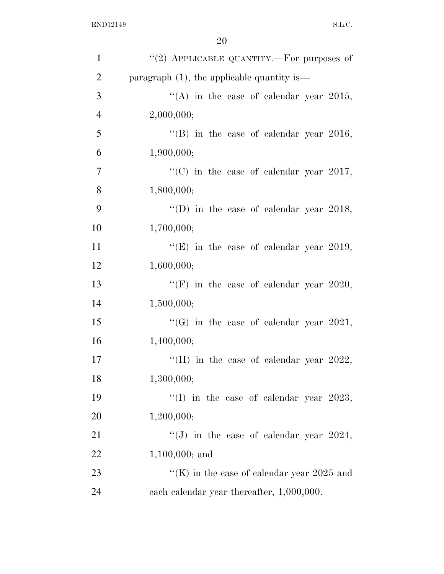| $\mathbf{1}$   | "(2) APPLICABLE QUANTITY.—For purposes of     |
|----------------|-----------------------------------------------|
| $\overline{2}$ | paragraph $(1)$ , the applicable quantity is— |
| 3              | "(A) in the case of calendar year 2015,       |
| $\overline{4}$ | 2,000,000;                                    |
| 5              | "(B) in the case of calendar year 2016,       |
| 6              | 1,900,000;                                    |
| $\tau$         | "(C) in the case of calendar year 2017,       |
| 8              | 1,800,000;                                    |
| 9              | "(D) in the case of calendar year 2018,       |
| 10             | 1,700,000;                                    |
| 11             | "(E) in the case of calendar year 2019,       |
| 12             | 1,600,000;                                    |
| 13             | "(F) in the case of calendar year 2020,       |
| 14             | 1,500,000;                                    |
| 15             | "(G) in the case of calendar year 2021,       |
| 16             | 1,400,000;                                    |
| 17             | "(H) in the case of calendar year $2022$ ,    |
| 18             | 1,300,000;                                    |
| 19             | "(I) in the case of calendar year $2023$ ,    |
| 20             | 1,200,000;                                    |
| 21             | "(J) in the case of calendar year $2024$ ,    |
| 22             | $1,100,000$ ; and                             |
| 23             | "(K) in the case of calendar year $2025$ and  |
| 24             | each calendar year thereafter, 1,000,000.     |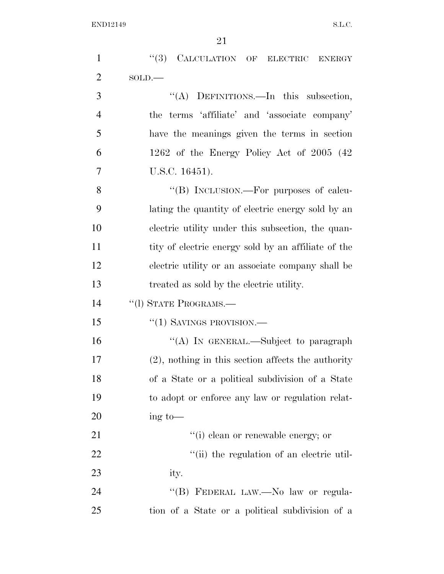| $\mathbf{1}$   | (3)<br>CALCULATION OF ELECTRIC ENERGY                 |
|----------------|-------------------------------------------------------|
| $\overline{2}$ | $SOLD$ .                                              |
| 3              | "(A) DEFINITIONS.—In this subsection,                 |
| $\overline{4}$ | the terms 'affiliate' and 'associate company'         |
| 5              | have the meanings given the terms in section          |
| 6              | 1262 of the Energy Policy Act of $2005$ (42)          |
| $\overline{7}$ | U.S.C. 16451).                                        |
| 8              | "(B) INCLUSION.—For purposes of calcu-                |
| 9              | lating the quantity of electric energy sold by an     |
| 10             | electric utility under this subsection, the quan-     |
| 11             | tity of electric energy sold by an affiliate of the   |
| 12             | electric utility or an associate company shall be     |
| 13             | treated as sold by the electric utility.              |
| 14             | "(1) STATE PROGRAMS.-                                 |
| 15             | $``(1)$ SAVINGS PROVISION.—                           |
| 16             | "(A) IN GENERAL.—Subject to paragraph                 |
| 17             | $(2)$ , nothing in this section affects the authority |
| 18             | of a State or a political subdivision of a State      |
| 19             | to adopt or enforce any law or regulation relat-      |
| <b>20</b>      | $\frac{1}{\text{mg}}$ to —                            |
| 21             | "(i) clean or renewable energy; or                    |
| 22             | "(ii) the regulation of an electric util-             |
| 23             | ity.                                                  |
| 24             | "(B) FEDERAL LAW.—No law or regula-                   |
| 25             | tion of a State or a political subdivision of a       |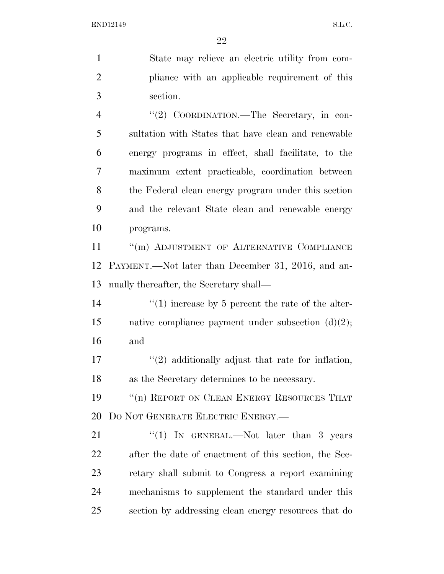State may relieve an electric utility from com- pliance with an applicable requirement of this section.

4 "(2) COORDINATION.—The Secretary, in con- sultation with States that have clean and renewable energy programs in effect, shall facilitate, to the maximum extent practicable, coordination between the Federal clean energy program under this section and the relevant State clean and renewable energy programs.

11 "(m) ADJUSTMENT OF ALTERNATIVE COMPLIANCE PAYMENT.—Not later than December 31, 2016, and an-nually thereafter, the Secretary shall—

14  $\frac{1}{2}$  (1) increase by 5 percent the rate of the alter- native compliance payment under subsection (d)(2); and

17 ''(2) additionally adjust that rate for inflation, as the Secretary determines to be necessary.

19 <sup>"</sup>(n) REPORT ON CLEAN ENERGY RESOURCES THAT DO NOT GENERATE ELECTRIC ENERGY.—

21 "(1) IN GENERAL.—Not later than 3 years after the date of enactment of this section, the Sec- retary shall submit to Congress a report examining mechanisms to supplement the standard under this section by addressing clean energy resources that do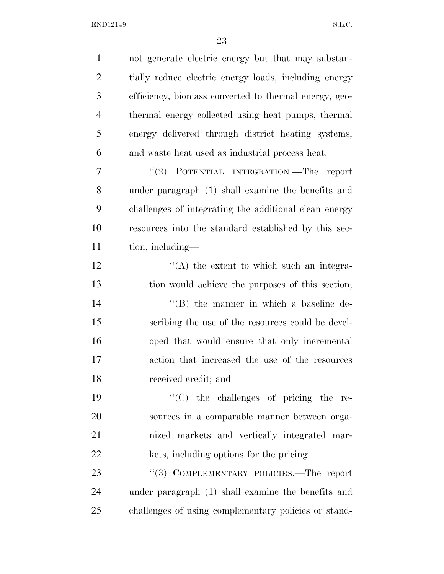| $\mathbf{1}$   | not generate electric energy but that may substan-    |
|----------------|-------------------------------------------------------|
| $\overline{2}$ | tially reduce electric energy loads, including energy |
| 3              | efficiency, biomass converted to thermal energy, geo- |
| $\overline{4}$ | thermal energy collected using heat pumps, thermal    |
| 5              | energy delivered through district heating systems,    |
| 6              | and waste heat used as industrial process heat.       |
| $\overline{7}$ | "(2) POTENTIAL INTEGRATION.—The report                |
| 8              | under paragraph (1) shall examine the benefits and    |
| 9              | challenges of integrating the additional clean energy |
| 10             | resources into the standard established by this sec-  |
| 11             | tion, including—                                      |
| 12             | $\lq\lq$ the extent to which such an integra-         |
| 13             | tion would achieve the purposes of this section;      |
| 14             | $\lq\lq$ the manner in which a baseline de-           |
| 15             | scribing the use of the resources could be devel-     |
| 16             | oped that would ensure that only incremental          |
| 17             | action that increased the use of the resources        |
| 18             | received credit; and                                  |
| 19             | $\lq\lq$ (C) the challenges of pricing the re-        |
| 20             | sources in a comparable manner between orga-          |
| 21             | nized markets and vertically integrated mar-          |
| 22             | kets, including options for the pricing.              |
| 23             | "(3) COMPLEMENTARY POLICIES.—The report               |
| 24             | under paragraph (1) shall examine the benefits and    |
| 25             | challenges of using complementary policies or stand-  |